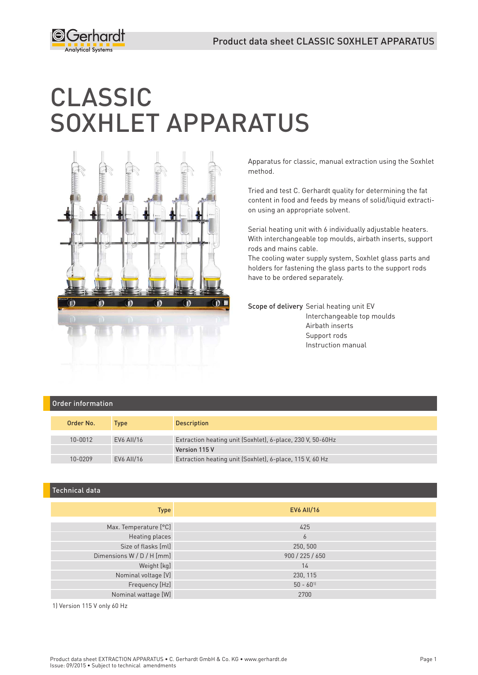

# CLASSIC SOXHLET APPARATUS



Apparatus for classic, manual extraction using the Soxhlet method.

Tried and test C. Gerhardt quality for determining the fat content in food and feeds by means of solid/liquid extraction using an appropriate solvent.

Serial heating unit with 6 individually adjustable heaters. With interchangeable top moulds, airbath inserts, support rods and mains cable.

The cooling water supply system, Soxhlet glass parts and holders for fastening the glass parts to the support rods have to be ordered separately.

Scope of delivery Serial heating unit EV Interchangeable top moulds Airbath inserts Support rods Instruction manual

#### Order information

| Order No. | Type       | <b>Description</b>                                         |
|-----------|------------|------------------------------------------------------------|
| 10-0012   | EV6 AII/16 | Extraction heating unit (Soxhlet), 6-place, 230 V, 50-60Hz |
|           |            | Version 115 V                                              |
| 10-0209   | EV6 AII/16 | Extraction heating unit (Soxhlet), 6-place, 115 V, 60 Hz   |

## Technical data

| <b>Type</b>               | <b>EV6 AII/16</b>       |
|---------------------------|-------------------------|
|                           |                         |
| Max. Temperature [°C]     | 425                     |
| Heating places            | 6                       |
| Size of flasks [ml]       | 250, 500                |
| Dimensions W / D / H [mm] | 900 / 225 / 650         |
| Weight [kg]               | 14                      |
| Nominal voltage [V]       | 230, 115                |
| Frequency [Hz]            | $50 - 60$ <sup>11</sup> |
| Nominal wattage [W]       | 2700                    |

1) Version 115 V only 60 Hz